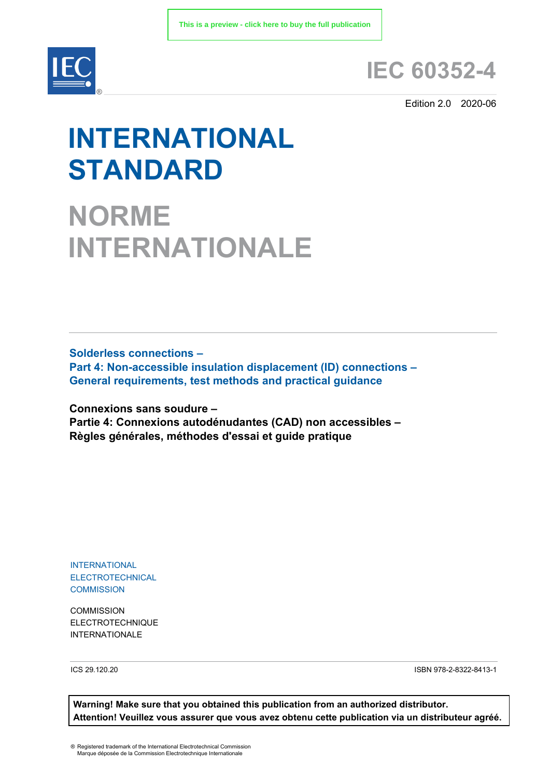

# **IEC 60352-4**

Edition 2.0 2020-06

# **INTERNATIONAL STANDARD**

**NORME INTERNATIONALE**

**Solderless connections – Part 4: Non-accessible insulation displacement (ID) connections – General requirements, test methods and practical guidance** 

**Connexions sans soudure – Partie 4: Connexions autodénudantes (CAD) non accessibles – Règles générales, méthodes d'essai et guide pratique**

INTERNATIONAL ELECTROTECHNICAL **COMMISSION** 

**COMMISSION** ELECTROTECHNIQUE INTERNATIONALE

ICS 29.120.20 ISBN 978-2-8322-8413-1

**Warning! Make sure that you obtained this publication from an authorized distributor. Attention! Veuillez vous assurer que vous avez obtenu cette publication via un distributeur agréé.**

® Registered trademark of the International Electrotechnical Commission Marque déposée de la Commission Electrotechnique Internationale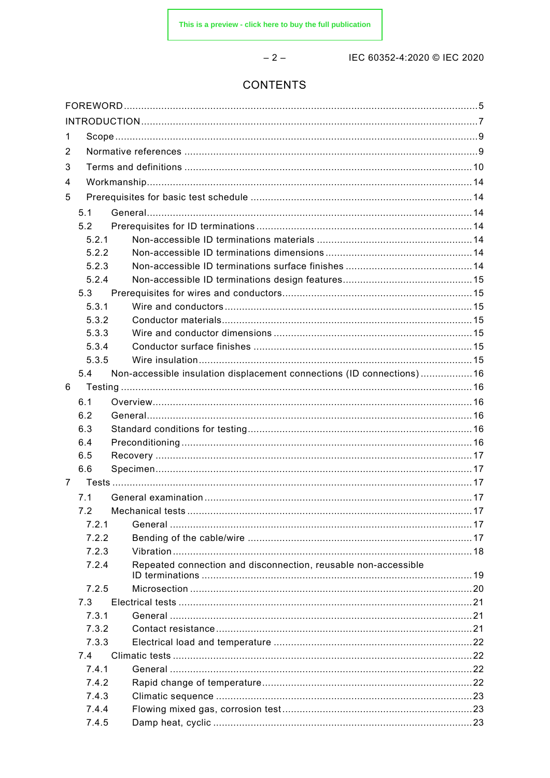$-2-$ 

IEC 60352-4:2020 © IEC 2020

# CONTENTS

| 1 |       |                                                                       |  |  |  |
|---|-------|-----------------------------------------------------------------------|--|--|--|
| 2 |       |                                                                       |  |  |  |
| 3 |       |                                                                       |  |  |  |
| 4 |       |                                                                       |  |  |  |
| 5 |       |                                                                       |  |  |  |
|   | 5.1   |                                                                       |  |  |  |
|   | 5.2   |                                                                       |  |  |  |
|   | 5.2.1 |                                                                       |  |  |  |
|   | 5.2.2 |                                                                       |  |  |  |
|   | 5.2.3 |                                                                       |  |  |  |
|   | 5.2.4 |                                                                       |  |  |  |
|   | 5.3   |                                                                       |  |  |  |
|   | 5.3.1 |                                                                       |  |  |  |
|   | 5.3.2 |                                                                       |  |  |  |
|   | 5.3.3 |                                                                       |  |  |  |
|   | 5.3.4 |                                                                       |  |  |  |
|   | 5.3.5 |                                                                       |  |  |  |
|   | 5.4   | Non-accessible insulation displacement connections (ID connections)16 |  |  |  |
| 6 |       |                                                                       |  |  |  |
|   | 6.1   |                                                                       |  |  |  |
|   | 6.2   |                                                                       |  |  |  |
|   | 6.3   |                                                                       |  |  |  |
|   | 6.4   |                                                                       |  |  |  |
|   | 6.5   |                                                                       |  |  |  |
|   | 6.6   |                                                                       |  |  |  |
| 7 |       |                                                                       |  |  |  |
|   | 7.1   |                                                                       |  |  |  |
|   | 7.2   |                                                                       |  |  |  |
|   | 7.2.1 |                                                                       |  |  |  |
|   | 7.2.2 |                                                                       |  |  |  |
|   | 7.2.3 |                                                                       |  |  |  |
|   | 7.2.4 | Repeated connection and disconnection, reusable non-accessible        |  |  |  |
|   | 7.2.5 |                                                                       |  |  |  |
|   | 7.3   |                                                                       |  |  |  |
|   | 7.3.1 |                                                                       |  |  |  |
|   | 7.3.2 |                                                                       |  |  |  |
|   | 7.3.3 |                                                                       |  |  |  |
|   | 7.4   |                                                                       |  |  |  |
|   | 7.4.1 |                                                                       |  |  |  |
|   | 7.4.2 |                                                                       |  |  |  |
|   | 7.4.3 |                                                                       |  |  |  |
|   | 7.4.4 |                                                                       |  |  |  |
|   | 7.4.5 |                                                                       |  |  |  |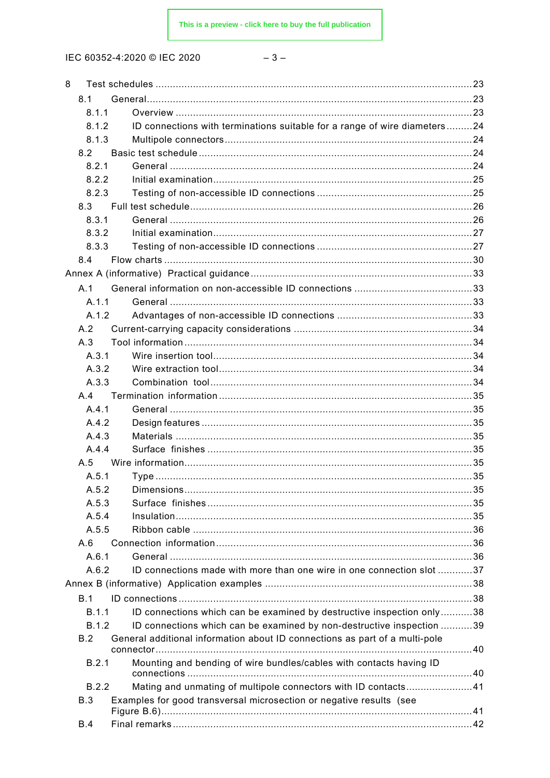IEC 60352-4:2020 © IEC 2020

 $-3-$ 

| 8 |       |                                                                             |     |
|---|-------|-----------------------------------------------------------------------------|-----|
|   | 8.1   |                                                                             |     |
|   | 8.1.1 |                                                                             |     |
|   | 8.1.2 | ID connections with terminations suitable for a range of wire diameters24   |     |
|   | 8.1.3 |                                                                             |     |
|   | 8.2   |                                                                             |     |
|   | 8.2.1 |                                                                             |     |
|   | 8.2.2 |                                                                             |     |
|   | 8.2.3 |                                                                             |     |
|   | 8.3   |                                                                             |     |
|   | 8.3.1 |                                                                             |     |
|   | 8.3.2 |                                                                             |     |
|   | 8.3.3 |                                                                             |     |
|   | 8.4   |                                                                             |     |
|   |       |                                                                             |     |
|   | A.1   |                                                                             |     |
|   | A.1.1 |                                                                             |     |
|   | A.1.2 |                                                                             |     |
|   | A.2   |                                                                             |     |
|   | A.3   |                                                                             |     |
|   | A.3.1 |                                                                             |     |
|   | A.3.2 |                                                                             |     |
|   | A.3.3 |                                                                             |     |
|   | A.4   |                                                                             |     |
|   | A.4.1 |                                                                             |     |
|   | A.4.2 |                                                                             |     |
|   | A.4.3 |                                                                             |     |
|   | A.4.4 |                                                                             |     |
|   | A.5   |                                                                             |     |
|   | A.5.1 |                                                                             |     |
|   | A.5.2 | Dimensions.                                                                 | .35 |
|   |       |                                                                             |     |
|   | A.5.3 |                                                                             |     |
|   | A.5.4 |                                                                             |     |
|   | A.5.5 |                                                                             |     |
|   | A.6   |                                                                             |     |
|   | A.6.1 |                                                                             |     |
|   | A.6.2 | ID connections made with more than one wire in one connection slot 37       |     |
|   |       |                                                                             |     |
|   | B.1   |                                                                             |     |
|   | B.1.1 | ID connections which can be examined by destructive inspection only38       |     |
|   | B.1.2 | ID connections which can be examined by non-destructive inspection 39       |     |
|   | B.2   | General additional information about ID connections as part of a multi-pole |     |
|   | B.2.1 | Mounting and bending of wire bundles/cables with contacts having ID         |     |
|   | B.2.2 | Mating and unmating of multipole connectors with ID contacts41              |     |
|   | B.3   | Examples for good transversal microsection or negative results (see         |     |
|   |       |                                                                             |     |
|   | B.4   |                                                                             |     |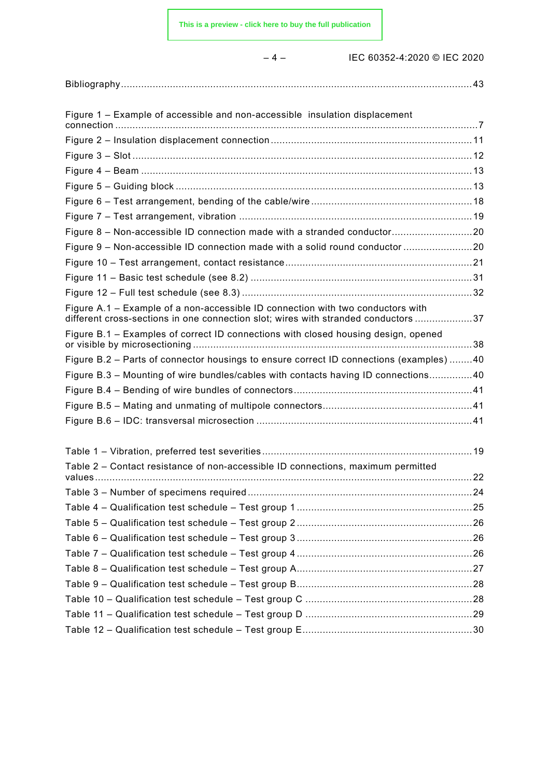– 4 – IEC 60352-4:2020 © IEC 2020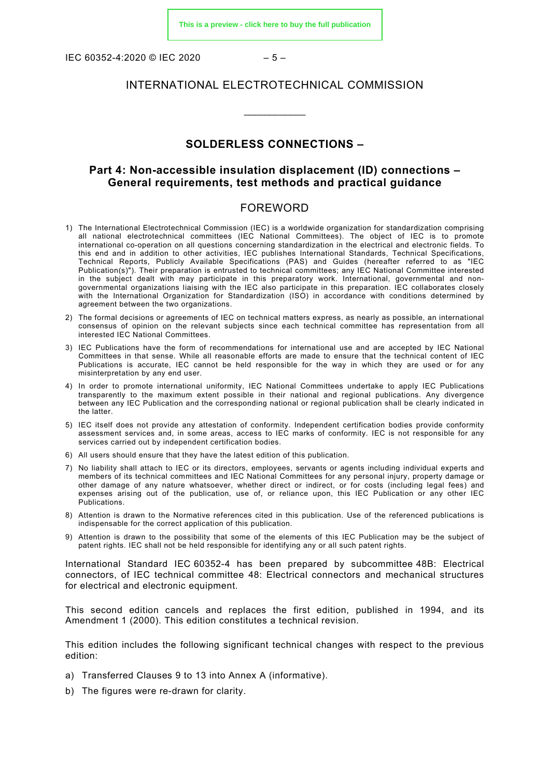IEC 60352-4:2020 © IEC 2020  $-5-$ 

#### INTERNATIONAL ELECTROTECHNICAL COMMISSION

\_\_\_\_\_\_\_\_\_\_\_\_

## **SOLDERLESS CONNECTIONS –**

# **Part 4: Non-accessible insulation displacement (ID) connections – General requirements, test methods and practical guidance**

#### FOREWORD

- <span id="page-4-0"></span>1) The International Electrotechnical Commission (IEC) is a worldwide organization for standardization comprising all national electrotechnical committees (IEC National Committees). The object of IEC is to promote international co-operation on all questions concerning standardization in the electrical and electronic fields. To this end and in addition to other activities, IEC publishes International Standards, Technical Specifications, Technical Reports, Publicly Available Specifications (PAS) and Guides (hereafter referred to as "IEC Publication(s)"). Their preparation is entrusted to technical committees; any IEC National Committee interested in the subject dealt with may participate in this preparatory work. International, governmental and nongovernmental organizations liaising with the IEC also participate in this preparation. IEC collaborates closely with the International Organization for Standardization (ISO) in accordance with conditions determined by agreement between the two organizations.
- 2) The formal decisions or agreements of IEC on technical matters express, as nearly as possible, an international consensus of opinion on the relevant subjects since each technical committee has representation from all interested IEC National Committees.
- 3) IEC Publications have the form of recommendations for international use and are accepted by IEC National Committees in that sense. While all reasonable efforts are made to ensure that the technical content of IEC Publications is accurate, IEC cannot be held responsible for the way in which they are used or for any misinterpretation by any end user.
- 4) In order to promote international uniformity, IEC National Committees undertake to apply IEC Publications transparently to the maximum extent possible in their national and regional publications. Any divergence between any IEC Publication and the corresponding national or regional publication shall be clearly indicated in the latter.
- 5) IEC itself does not provide any attestation of conformity. Independent certification bodies provide conformity assessment services and, in some areas, access to IEC marks of conformity. IEC is not responsible for any services carried out by independent certification bodies.
- 6) All users should ensure that they have the latest edition of this publication.
- 7) No liability shall attach to IEC or its directors, employees, servants or agents including individual experts and members of its technical committees and IEC National Committees for any personal injury, property damage or other damage of any nature whatsoever, whether direct or indirect, or for costs (including legal fees) and expenses arising out of the publication, use of, or reliance upon, this IEC Publication or any other IEC Publications.
- 8) Attention is drawn to the Normative references cited in this publication. Use of the referenced publications is indispensable for the correct application of this publication.
- 9) Attention is drawn to the possibility that some of the elements of this IEC Publication may be the subject of patent rights. IEC shall not be held responsible for identifying any or all such patent rights.

International Standard IEC 60352-4 has been prepared by subcommittee 48B: Electrical connectors, of IEC technical committee 48: Electrical connectors and mechanical structures for electrical and electronic equipment.

This second edition cancels and replaces the first edition, published in 1994, and its Amendment 1 (2000). This edition constitutes a technical revision.

This edition includes the following significant technical changes with respect to the previous edition:

- a) Transferred Clauses 9 to 13 into Annex A (informative).
- b) The figures were re-drawn for clarity.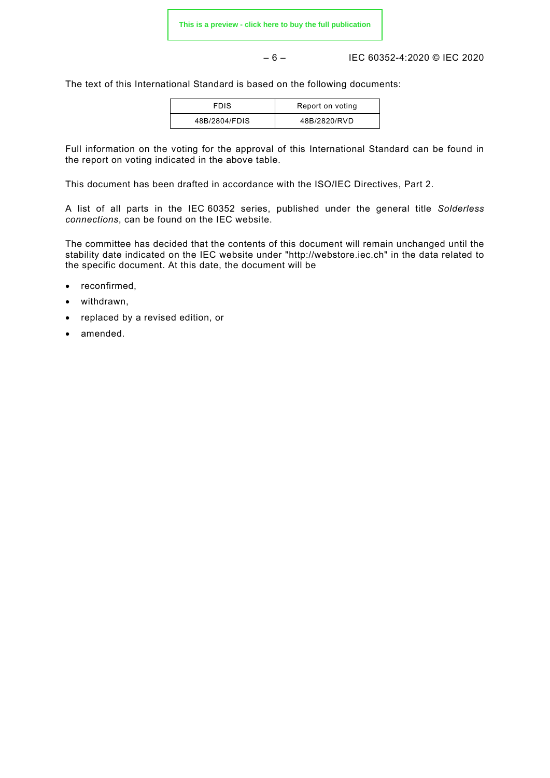– 6 – IEC 60352-4:2020 © IEC 2020

The text of this International Standard is based on the following documents:

| <b>FDIS</b>   | Report on voting |
|---------------|------------------|
| 48B/2804/FDIS | 48B/2820/RVD     |

Full information on the voting for the approval of this International Standard can be found in the report on voting indicated in the above table.

This document has been drafted in accordance with the ISO/IEC Directives, Part 2.

A list of all parts in the IEC 60352 series, published under the general title *Solderless connections*, can be found on the IEC website.

The committee has decided that the contents of this document will remain unchanged until the stability date indicated on the IEC website under "http://webstore.iec.ch" in the data related to the specific document. At this date, the document will be

- reconfirmed,
- withdrawn,
- replaced by a revised edition, or
- amended.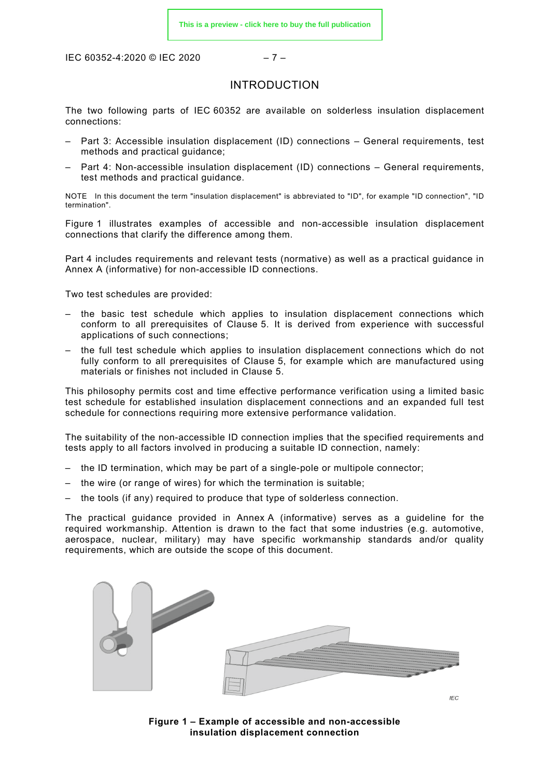<span id="page-6-0"></span>IEC 60352-4:2020 © IEC 2020 – 7 –

# INTRODUCTION

The two following parts of IEC 60352 are available on solderless insulation displacement connections:

- Part 3: Accessible insulation displacement (ID) connections General requirements, test methods and practical guidance;
- Part 4: Non-accessible insulation displacement (ID) connections General requirements, test methods and practical guidance.

NOTE In this document the term "insulation displacement" is abbreviated to "ID", for example "ID connection", "ID termination".

[Figure 1](#page-6-1) illustrates examples of accessible and non-accessible insulation displacement connections that clarify the difference among them.

Part 4 includes requirements and relevant tests (normative) as well as a practical guidance in Annex A (informative) for non-accessible ID connections.

Two test schedules are provided:

- the basic test schedule which applies to insulation displacement connections which conform to all prerequisites of Clause 5. It is derived from experience with successful applications of such connections;
- the full test schedule which applies to insulation displacement connections which do not fully conform to all prerequisites of Clause 5, for example which are manufactured using materials or finishes not included in Clause 5.

This philosophy permits cost and time effective performance verification using a limited basic test schedule for established insulation displacement connections and an expanded full test schedule for connections requiring more extensive performance validation.

The suitability of the non-accessible ID connection implies that the specified requirements and tests apply to all factors involved in producing a suitable ID connection, namely:

- the ID termination, which may be part of a single-pole or multipole connector;
- the wire (or range of wires) for which the termination is suitable;
- the tools (if any) required to produce that type of solderless connection.

The practical guidance provided in Annex A (informative) serves as a guideline for the required workmanship. Attention is drawn to the fact that some industries (e.g. automotive, aerospace, nuclear, military) may have specific workmanship standards and/or quality requirements, which are outside the scope of this document.

<span id="page-6-1"></span>

**Figure 1 – Example of accessible and non-accessible insulation displacement connection**

**IEC**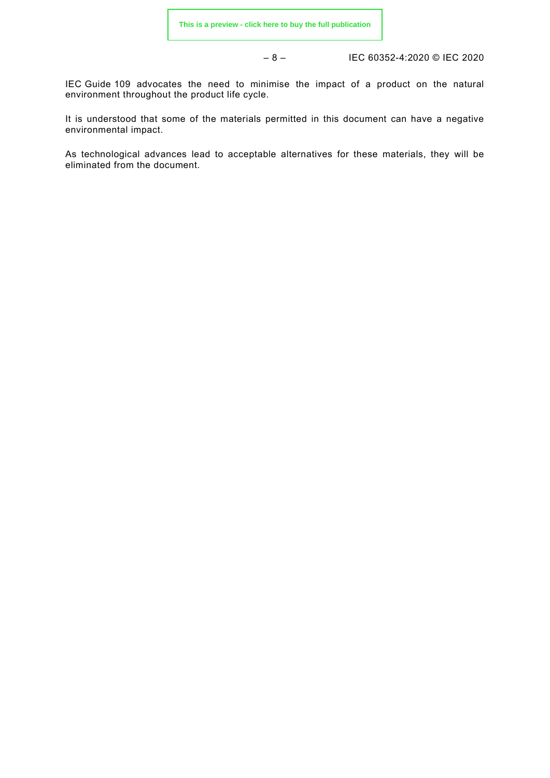– 8 – IEC 60352-4:2020 © IEC 2020

IEC Guide 109 advocates the need to minimise the impact of a product on the natural environment throughout the product life cycle.

It is understood that some of the materials permitted in this document can have a negative environmental impact.

As technological advances lead to acceptable alternatives for these materials, they will be eliminated from the document.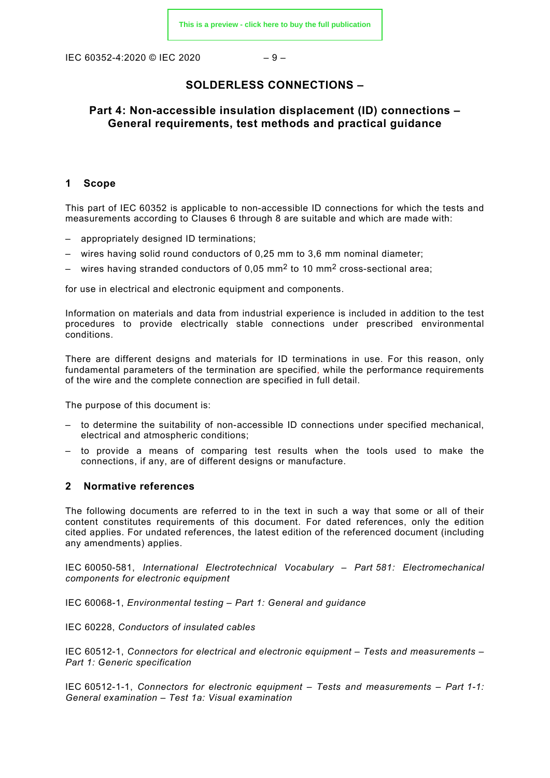IEC 60352-4:2020 © IEC 2020 – 9 –

# **SOLDERLESS CONNECTIONS –**

# **Part 4: Non-accessible insulation displacement (ID) connections – General requirements, test methods and practical guidance**

# <span id="page-8-0"></span>**1 Scope**

This part of IEC 60352 is applicable to non-accessible ID connections for which the tests and measurements according to Clauses 6 through 8 are suitable and which are made with:

- appropriately designed ID terminations;
- wires having solid round conductors of 0,25 mm to 3,6 mm nominal diameter;
- wires having stranded conductors of  $0.05$  mm<sup>2</sup> to 10 mm<sup>2</sup> cross-sectional area;

for use in electrical and electronic equipment and components.

Information on materials and data from industrial experience is included in addition to the test procedures to provide electrically stable connections under prescribed environmental conditions.

There are different designs and materials for ID terminations in use. For this reason, only fundamental parameters of the termination are specified, while the performance requirements of the wire and the complete connection are specified in full detail.

The purpose of this document is:

- to determine the suitability of non-accessible ID connections under specified mechanical, electrical and atmospheric conditions;
- to provide a means of comparing test results when the tools used to make the connections, if any, are of different designs or manufacture.

## <span id="page-8-1"></span>**2 Normative references**

The following documents are referred to in the text in such a way that some or all of their content constitutes requirements of this document. For dated references, only the edition cited applies. For undated references, the latest edition of the referenced document (including any amendments) applies.

IEC 60050-581, *International Electrotechnical Vocabulary – Part 581: Electromechanical components for electronic equipment*

IEC 60068-1, *Environmental testing – Part 1: General and guidance*

IEC 60228, *Conductors of insulated cables*

IEC 60512-1, *Connectors for electrical and electronic equipment – Tests and measurements – Part 1: Generic specification*

IEC 60512-1-1, *Connectors for electronic equipment – Tests and measurements – Part 11: General examination – Test 1a: Visual examination*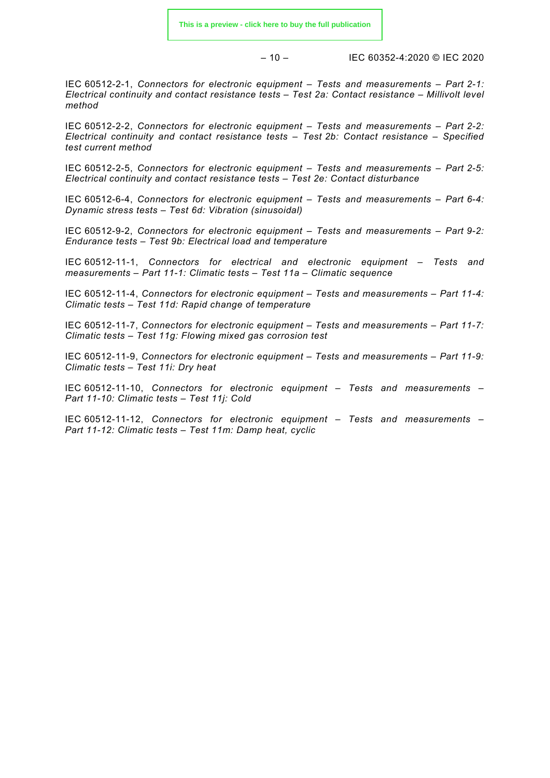$$
-10-
$$

– 10 – IEC 60352-4:2020 © IEC 2020

IEC 60512-2-1, *Connectors for electronic equipment – Tests and measurements – Part 2-1: Electrical continuity and contact resistance tests – Test 2a: Contact resistance – Millivolt level method*

IEC 60512-2-2, *Connectors for electronic equipment – Tests and measurements – Part 22: Electrical continuity and contact resistance tests – Test 2b: Contact resistance – Specified test current method*

IEC 60512-2-5, *Connectors for electronic equipment – Tests and measurements – Part 25: Electrical continuity and contact resistance tests – Test 2e: Contact disturbance*

IEC 60512-6-4, *Connectors for electronic equipment – Tests and measurements – Part 64: Dynamic stress tests – Test 6d: Vibration (sinusoidal)*

IEC 60512-9-2, *Connectors for electronic equipment – Tests and measurements – Part 92: Endurance tests – Test 9b: Electrical load and temperature*

IEC 60512-11-1, *Connectors for electrical and electronic equipment – Tests and measurements – Part 11-1: Climatic tests – Test 11a – Climatic sequence*

IEC 60512-11-4, *Connectors for electronic equipment – Tests and measurements – Part 114: Climatic tests – Test 11d: Rapid change of temperature*

IEC 60512-11-7, *Connectors for electronic equipment – Tests and measurements – Part 11-7: Climatic tests – Test 11g: Flowing mixed gas corrosion test*

IEC 60512-11-9, *Connectors for electronic equipment – Tests and measurements – Part 119: Climatic tests – Test 11i: Dry heat* 

IEC 60512-11-10, *Connectors for electronic equipment – Tests and measurements – Part 1110: Climatic tests – Test 11j: Cold*

<span id="page-9-0"></span>IEC 60512-11-12, *Connectors for electronic equipment – Tests and measurements – Part 1112: Climatic tests – Test 11m: Damp heat, cyclic*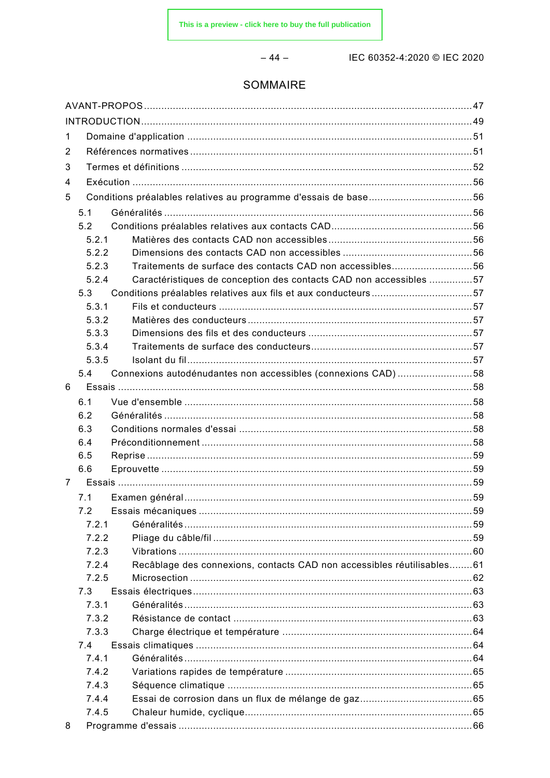$-44-$ 

IEC 60352-4:2020 © IEC 2020

# SOMMAIRE

| 1            |       |                                                                        |  |  |
|--------------|-------|------------------------------------------------------------------------|--|--|
| 2            |       |                                                                        |  |  |
| 3            |       |                                                                        |  |  |
| 4            |       |                                                                        |  |  |
| 5            |       | Conditions préalables relatives au programme d'essais de base56        |  |  |
|              | 5.1   |                                                                        |  |  |
|              | 5.2   |                                                                        |  |  |
|              | 5.2.1 |                                                                        |  |  |
|              | 5.2.2 |                                                                        |  |  |
|              | 5.2.3 | Traitements de surface des contacts CAD non accessibles56              |  |  |
|              | 5.2.4 | Caractéristiques de conception des contacts CAD non accessibles 57     |  |  |
|              | 5.3   | Conditions préalables relatives aux fils et aux conducteurs57          |  |  |
|              | 5.3.1 |                                                                        |  |  |
|              | 5.3.2 |                                                                        |  |  |
|              | 5.3.3 |                                                                        |  |  |
|              | 5.3.4 |                                                                        |  |  |
|              | 5.3.5 |                                                                        |  |  |
|              | 5.4   | Connexions autodénudantes non accessibles (connexions CAD)58           |  |  |
| 6            |       |                                                                        |  |  |
|              | 6.1   |                                                                        |  |  |
|              | 6.2   |                                                                        |  |  |
|              | 6.3   |                                                                        |  |  |
|              | 6.4   |                                                                        |  |  |
|              | 6.5   |                                                                        |  |  |
|              | 6.6   |                                                                        |  |  |
| $\mathbf{7}$ |       |                                                                        |  |  |
|              | 7.1   |                                                                        |  |  |
|              | 7.2   |                                                                        |  |  |
|              | 7.2.1 |                                                                        |  |  |
|              | 7.2.2 |                                                                        |  |  |
|              | 7.2.3 |                                                                        |  |  |
|              | 7.2.4 | Recâblage des connexions, contacts CAD non accessibles réutilisables61 |  |  |
|              | 7.2.5 |                                                                        |  |  |
|              | 7.3   |                                                                        |  |  |
|              | 7.3.1 |                                                                        |  |  |
|              | 7.3.2 |                                                                        |  |  |
|              | 7.3.3 |                                                                        |  |  |
|              | 7.4   |                                                                        |  |  |
|              | 7.4.1 |                                                                        |  |  |
|              | 7.4.2 |                                                                        |  |  |
|              | 7.4.3 |                                                                        |  |  |
|              | 7.4.4 |                                                                        |  |  |
|              | 7.4.5 |                                                                        |  |  |
| 8            |       |                                                                        |  |  |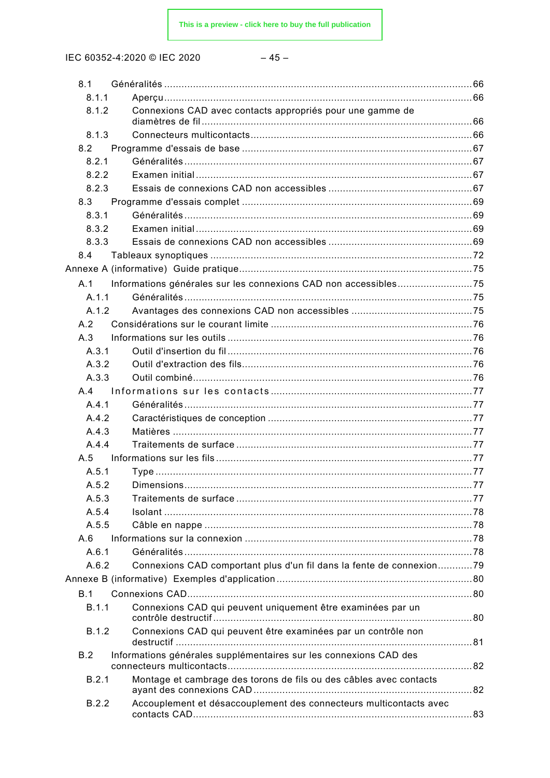IEC 60352-4:2020 © IEC 2020

| 8.1   |                                                                      |      |
|-------|----------------------------------------------------------------------|------|
| 8.1.1 |                                                                      |      |
| 8.1.2 | Connexions CAD avec contacts appropriés pour une gamme de            |      |
| 8.1.3 |                                                                      |      |
| 8.2   |                                                                      |      |
| 8.2.1 |                                                                      |      |
| 8.2.2 |                                                                      |      |
| 8.2.3 |                                                                      |      |
| 8.3   |                                                                      |      |
| 8.3.1 |                                                                      |      |
| 8.3.2 |                                                                      |      |
| 8.3.3 |                                                                      |      |
| 8.4   |                                                                      |      |
|       |                                                                      |      |
| A.1   | Informations générales sur les connexions CAD non accessibles75      |      |
| A.1.1 |                                                                      |      |
| A.1.2 |                                                                      |      |
| A.2   |                                                                      |      |
| A.3   |                                                                      |      |
| A.3.1 |                                                                      |      |
| A.3.2 |                                                                      |      |
| A.3.3 |                                                                      |      |
| $A_4$ |                                                                      |      |
| A.4.1 |                                                                      |      |
| A.4.2 |                                                                      |      |
| A.4.3 |                                                                      |      |
| A.4.4 |                                                                      |      |
| A.5   |                                                                      |      |
| A.5.1 |                                                                      |      |
| A.5.2 | Dimensions                                                           | . 77 |
| A.5.3 |                                                                      |      |
| A.5.4 |                                                                      |      |
| A.5.5 |                                                                      |      |
| A.6   |                                                                      |      |
| A.6.1 |                                                                      |      |
| A.6.2 | Connexions CAD comportant plus d'un fil dans la fente de connexion79 |      |
|       |                                                                      |      |
| B.1   |                                                                      |      |
| B.1.1 | Connexions CAD qui peuvent uniquement être examinées par un          |      |
| B.1.2 | Connexions CAD qui peuvent être examinées par un contrôle non        |      |
| B.2   | Informations générales supplémentaires sur les connexions CAD des    |      |
| B.2.1 | Montage et cambrage des torons de fils ou des câbles avec contacts   |      |
| B.2.2 | Accouplement et désaccouplement des connecteurs multicontacts avec   |      |
|       |                                                                      |      |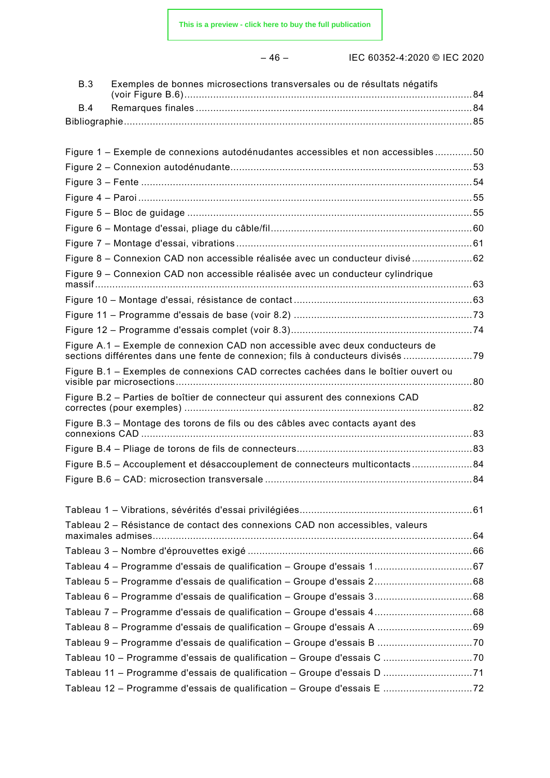|--|--|

– 46 – IEC 60352-4:2020 © IEC 2020

| B.3 | Exemples de bonnes microsections transversales ou de résultats négatifs                                                                                           |  |
|-----|-------------------------------------------------------------------------------------------------------------------------------------------------------------------|--|
| B.4 |                                                                                                                                                                   |  |
|     |                                                                                                                                                                   |  |
|     |                                                                                                                                                                   |  |
|     | Figure 1 – Exemple de connexions autodénudantes accessibles et non accessibles50                                                                                  |  |
|     |                                                                                                                                                                   |  |
|     |                                                                                                                                                                   |  |
|     |                                                                                                                                                                   |  |
|     |                                                                                                                                                                   |  |
|     |                                                                                                                                                                   |  |
|     |                                                                                                                                                                   |  |
|     | Figure 8 - Connexion CAD non accessible réalisée avec un conducteur divisé 62                                                                                     |  |
|     | Figure 9 - Connexion CAD non accessible réalisée avec un conducteur cylindrique                                                                                   |  |
|     |                                                                                                                                                                   |  |
|     |                                                                                                                                                                   |  |
|     |                                                                                                                                                                   |  |
|     | Figure A.1 - Exemple de connexion CAD non accessible avec deux conducteurs de<br>sections différentes dans une fente de connexion; fils à conducteurs divisés  79 |  |
|     | Figure B.1 - Exemples de connexions CAD correctes cachées dans le boîtier ouvert ou                                                                               |  |
|     | Figure B.2 - Parties de boîtier de connecteur qui assurent des connexions CAD                                                                                     |  |
|     | Figure B.3 – Montage des torons de fils ou des câbles avec contacts ayant des                                                                                     |  |
|     |                                                                                                                                                                   |  |
|     | Figure B.5 - Accouplement et désaccouplement de connecteurs multicontacts84                                                                                       |  |
|     |                                                                                                                                                                   |  |
|     |                                                                                                                                                                   |  |
|     | Tableau 2 - Résistance de contact des connexions CAD non accessibles, valeurs                                                                                     |  |
|     |                                                                                                                                                                   |  |
|     |                                                                                                                                                                   |  |
|     |                                                                                                                                                                   |  |
|     |                                                                                                                                                                   |  |
|     |                                                                                                                                                                   |  |
|     |                                                                                                                                                                   |  |
|     |                                                                                                                                                                   |  |
|     |                                                                                                                                                                   |  |
|     | Tableau 11 - Programme d'essais de qualification - Groupe d'essais D 71                                                                                           |  |
|     | Tableau 12 - Programme d'essais de qualification - Groupe d'essais E 72                                                                                           |  |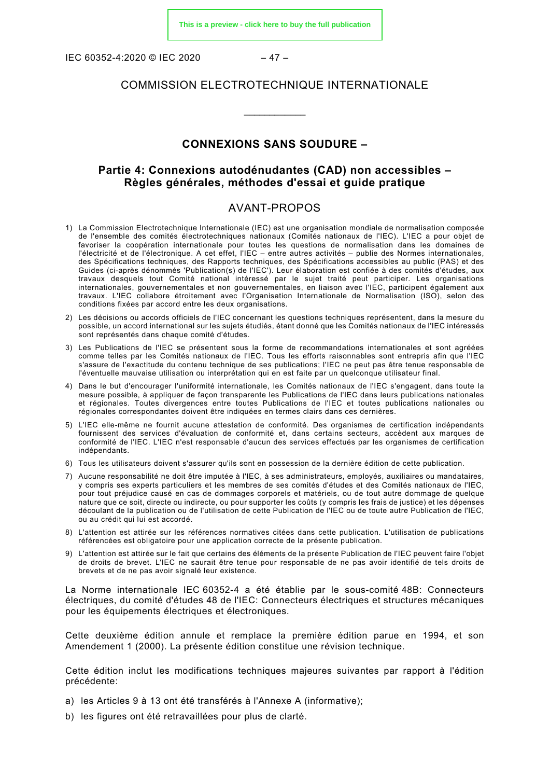IEC 60352-4:2020 © IEC 2020 – 47 –

# COMMISSION ELECTROTECHNIQUE INTERNATIONALE

\_\_\_\_\_\_\_\_\_\_\_\_

# **CONNEXIONS SANS SOUDURE –**

# **Partie 4: Connexions autodénudantes (CAD) non accessibles – Règles générales, méthodes d'essai et guide pratique**

#### AVANT-PROPOS

- <span id="page-13-0"></span>1) La Commission Electrotechnique Internationale (IEC) est une organisation mondiale de normalisation composée de l'ensemble des comités électrotechniques nationaux (Comités nationaux de l'IEC). L'IEC a pour objet de favoriser la coopération internationale pour toutes les questions de normalisation dans les domaines de l'électricité et de l'électronique. A cet effet, l'IEC – entre autres activités – publie des Normes internationales, des Spécifications techniques, des Rapports techniques, des Spécifications accessibles au public (PAS) et des Guides (ci-après dénommés 'Publication(s) de l'IEC'). Leur élaboration est confiée à des comités d'études, aux travaux desquels tout Comité national intéressé par le sujet traité peut participer. Les organisations internationales, gouvernementales et non gouvernementales, en liaison avec l'IEC, participent également aux travaux. L'IEC collabore étroitement avec l'Organisation Internationale de Normalisation (ISO), selon des conditions fixées par accord entre les deux organisations.
- 2) Les décisions ou accords officiels de l'IEC concernant les questions techniques représentent, dans la mesure du possible, un accord international sur les sujets étudiés, étant donné que les Comités nationaux de l'IEC intéressés sont représentés dans chaque comité d'études.
- 3) Les Publications de l'IEC se présentent sous la forme de recommandations internationales et sont agréées comme telles par les Comités nationaux de l'IEC. Tous les efforts raisonnables sont entrepris afin que l'IEC s'assure de l'exactitude du contenu technique de ses publications; l'IEC ne peut pas être tenue responsable de l'éventuelle mauvaise utilisation ou interprétation qui en est faite par un quelconque utilisateur final.
- 4) Dans le but d'encourager l'uniformité internationale, les Comités nationaux de l'IEC s'engagent, dans toute la mesure possible, à appliquer de façon transparente les Publications de l'IEC dans leurs publications nationales et régionales. Toutes divergences entre toutes Publications de l'IEC et toutes publications nationales ou régionales correspondantes doivent être indiquées en termes clairs dans ces dernières.
- 5) L'IEC elle-même ne fournit aucune attestation de conformité. Des organismes de certification indépendants fournissent des services d'évaluation de conformité et, dans certains secteurs, accèdent aux marques de conformité de l'IEC. L'IEC n'est responsable d'aucun des services effectués par les organismes de certification indépendants.
- 6) Tous les utilisateurs doivent s'assurer qu'ils sont en possession de la dernière édition de cette publication.
- 7) Aucune responsabilité ne doit être imputée à l'IEC, à ses administrateurs, employés, auxiliaires ou mandataires, y compris ses experts particuliers et les membres de ses comités d'études et des Comités nationaux de l'IEC, pour tout préjudice causé en cas de dommages corporels et matériels, ou de tout autre dommage de quelque nature que ce soit, directe ou indirecte, ou pour supporter les coûts (y compris les frais de justice) et les dépenses découlant de la publication ou de l'utilisation de cette Publication de l'IEC ou de toute autre Publication de l'IEC, ou au crédit qui lui est accordé.
- 8) L'attention est attirée sur les références normatives citées dans cette publication. L'utilisation de publications référencées est obligatoire pour une application correcte de la présente publication.
- 9) L'attention est attirée sur le fait que certains des éléments de la présente Publication de l'IEC peuvent faire l'objet de droits de brevet. L'IEC ne saurait être tenue pour responsable de ne pas avoir identifié de tels droits de brevets et de ne pas avoir signalé leur existence.

La Norme internationale IEC 60352-4 a été établie par le sous-comité 48B: Connecteurs électriques, du comité d'études 48 de l'IEC: Connecteurs électriques et structures mécaniques pour les équipements électriques et électroniques.

Cette deuxième édition annule et remplace la première édition parue en 1994, et son Amendement 1 (2000). La présente édition constitue une révision technique.

Cette édition inclut les modifications techniques majeures suivantes par rapport à l'édition précédente:

- a) les Articles 9 à 13 ont été transférés à l'Annexe A (informative);
- b) les figures ont été retravaillées pour plus de clarté.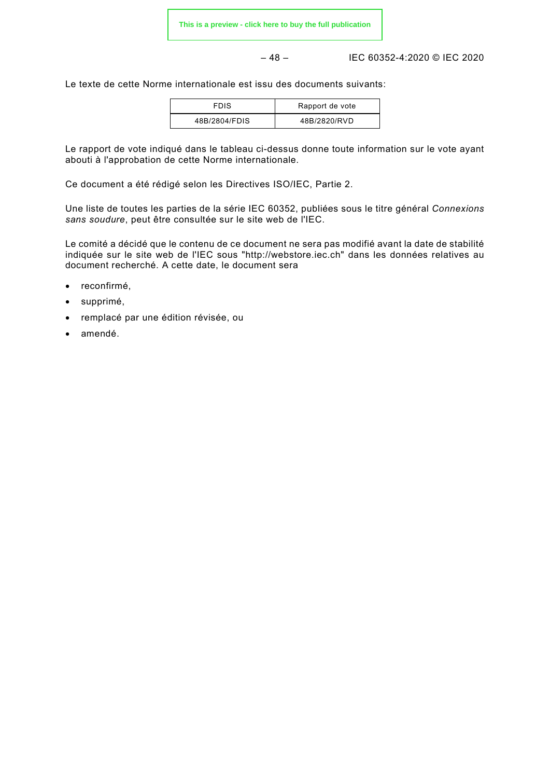– 48 – IEC 60352-4:2020 © IEC 2020

Le texte de cette Norme internationale est issu des documents suivants:

| <b>FDIS</b>   | Rapport de vote |
|---------------|-----------------|
| 48B/2804/FDIS | 48B/2820/RVD    |

Le rapport de vote indiqué dans le tableau ci-dessus donne toute information sur le vote ayant abouti à l'approbation de cette Norme internationale.

Ce document a été rédigé selon les Directives ISO/IEC, Partie 2.

Une liste de toutes les parties de la série IEC 60352, publiées sous le titre général *Connexions sans soudure*, peut être consultée sur le site web de l'IEC.

Le comité a décidé que le contenu de ce document ne sera pas modifié avant la date de stabilité indiquée sur le site web de l'IEC sous "http://webstore.iec.ch" dans les données relatives au document recherché. A cette date, le document sera

- reconfirmé,
- supprimé,
- remplacé par une édition révisée, ou
- amendé.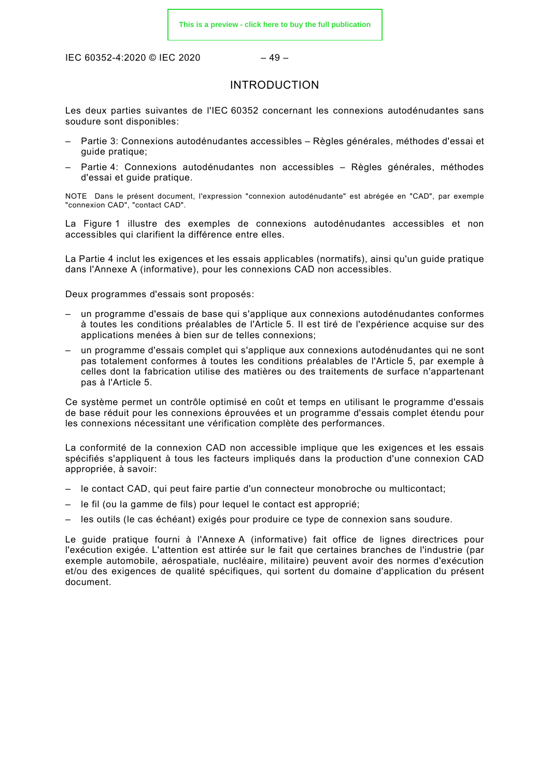<span id="page-15-0"></span>IEC 60352-4:2020 © IEC 2020  $-49-$ 

# INTRODUCTION

Les deux parties suivantes de l'IEC 60352 concernant les connexions autodénudantes sans soudure sont disponibles:

- Partie 3: Connexions autodénudantes accessibles Règles générales, méthodes d'essai et guide pratique;
- Partie 4: Connexions autodénudantes non accessibles Règles générales, méthodes d'essai et guide pratique.

NOTE Dans le présent document, l'expression "connexion autodénudante" est abrégée en "CAD", par exemple "connexion CAD", "contact CAD".

La [Figure 1](#page-16-0) illustre des exemples de connexions autodénudantes accessibles et non accessibles qui clarifient la différence entre elles.

La Partie 4 inclut les exigences et les essais applicables (normatifs), ainsi qu'un guide pratique dans l'Annexe A (informative), pour les connexions CAD non accessibles.

Deux programmes d'essais sont proposés:

- un programme d'essais de base qui s'applique aux connexions autodénudantes conformes à toutes les conditions préalables de l'Article 5. Il est tiré de l'expérience acquise sur des applications menées à bien sur de telles connexions;
- un programme d'essais complet qui s'applique aux connexions autodénudantes qui ne sont pas totalement conformes à toutes les conditions préalables de l'Article 5, par exemple à celles dont la fabrication utilise des matières ou des traitements de surface n'appartenant pas à l'Article 5.

Ce système permet un contrôle optimisé en coût et temps en utilisant le programme d'essais de base réduit pour les connexions éprouvées et un programme d'essais complet étendu pour les connexions nécessitant une vérification complète des performances.

La conformité de la connexion CAD non accessible implique que les exigences et les essais spécifiés s'appliquent à tous les facteurs impliqués dans la production d'une connexion CAD appropriée, à savoir:

- le contact CAD, qui peut faire partie d'un connecteur monobroche ou multicontact;
- le fil (ou la gamme de fils) pour lequel le contact est approprié;
- les outils (le cas échéant) exigés pour produire ce type de connexion sans soudure.

Le guide pratique fourni à l'Annexe A (informative) fait office de lignes directrices pour l'exécution exigée. L'attention est attirée sur le fait que certaines branches de l'industrie (par exemple automobile, aérospatiale, nucléaire, militaire) peuvent avoir des normes d'exécution et/ou des exigences de qualité spécifiques, qui sortent du domaine d'application du présent document.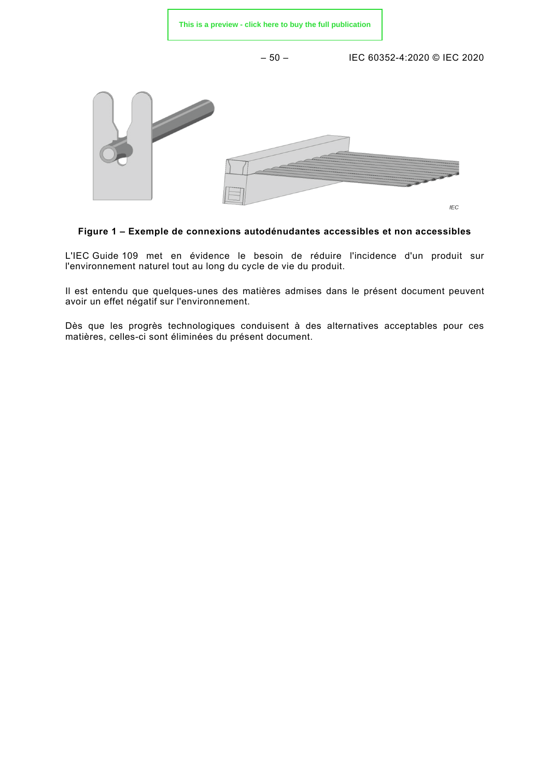

– 50 – IEC 60352-4:2020 © IEC 2020



#### <span id="page-16-0"></span>**Figure 1 – Exemple de connexions autodénudantes accessibles et non accessibles**

L'IEC Guide 109 met en évidence le besoin de réduire l'incidence d'un produit sur l'environnement naturel tout au long du cycle de vie du produit.

Il est entendu que quelques-unes des matières admises dans le présent document peuvent avoir un effet négatif sur l'environnement.

Dès que les progrès technologiques conduisent à des alternatives acceptables pour ces matières, celles-ci sont éliminées du présent document.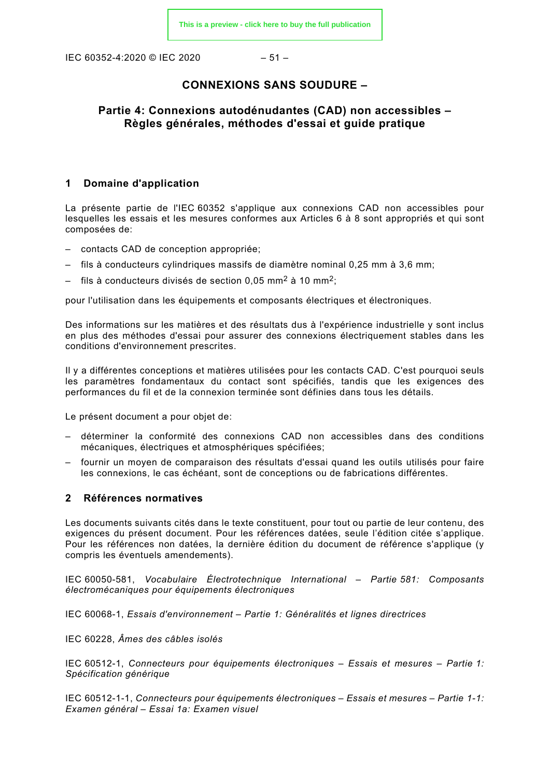IEC 60352-4:2020 © IEC 2020 – 51 –

# **CONNEXIONS SANS SOUDURE –**

# **Partie 4: Connexions autodénudantes (CAD) non accessibles – Règles générales, méthodes d'essai et guide pratique**

## <span id="page-17-0"></span>**1 Domaine d'application**

La présente partie de l'IEC 60352 s'applique aux connexions CAD non accessibles pour lesquelles les essais et les mesures conformes aux Articles 6 à 8 sont appropriés et qui sont composées de:

- contacts CAD de conception appropriée;
- fils à conducteurs cylindriques massifs de diamètre nominal 0,25 mm à 3,6 mm;
- fils à conducteurs divisés de section  $0.05$  mm<sup>2</sup> à 10 mm<sup>2</sup>;

pour l'utilisation dans les équipements et composants électriques et électroniques.

Des informations sur les matières et des résultats dus à l'expérience industrielle y sont inclus en plus des méthodes d'essai pour assurer des connexions électriquement stables dans les conditions d'environnement prescrites.

Il y a différentes conceptions et matières utilisées pour les contacts CAD. C'est pourquoi seuls les paramètres fondamentaux du contact sont spécifiés, tandis que les exigences des performances du fil et de la connexion terminée sont définies dans tous les détails.

Le présent document a pour objet de:

- déterminer la conformité des connexions CAD non accessibles dans des conditions mécaniques, électriques et atmosphériques spécifiées;
- fournir un moyen de comparaison des résultats d'essai quand les outils utilisés pour faire les connexions, le cas échéant, sont de conceptions ou de fabrications différentes.

## <span id="page-17-1"></span>**2 Références normatives**

Les documents suivants cités dans le texte constituent, pour tout ou partie de leur contenu, des exigences du présent document. Pour les références datées, seule l'édition citée s'applique. Pour les références non datées, la dernière édition du document de référence s'applique (y compris les éventuels amendements).

IEC 60050-581, *Vocabulaire Électrotechnique International – Partie 581: Composants électromécaniques pour équipements électroniques*

IEC 60068-1, *Essais d'environnement – Partie 1: Généralités et lignes directrices*

IEC 60228, *Âmes des câbles isolés*

IEC 60512-1, *Connecteurs pour équipements électroniques – Essais et mesures – Partie 1: Spécification générique*

IEC 60512-1-1, *Connecteurs pour équipements électroniques – Essais et mesures – Partie 11: Examen général – Essai 1a: Examen visuel*